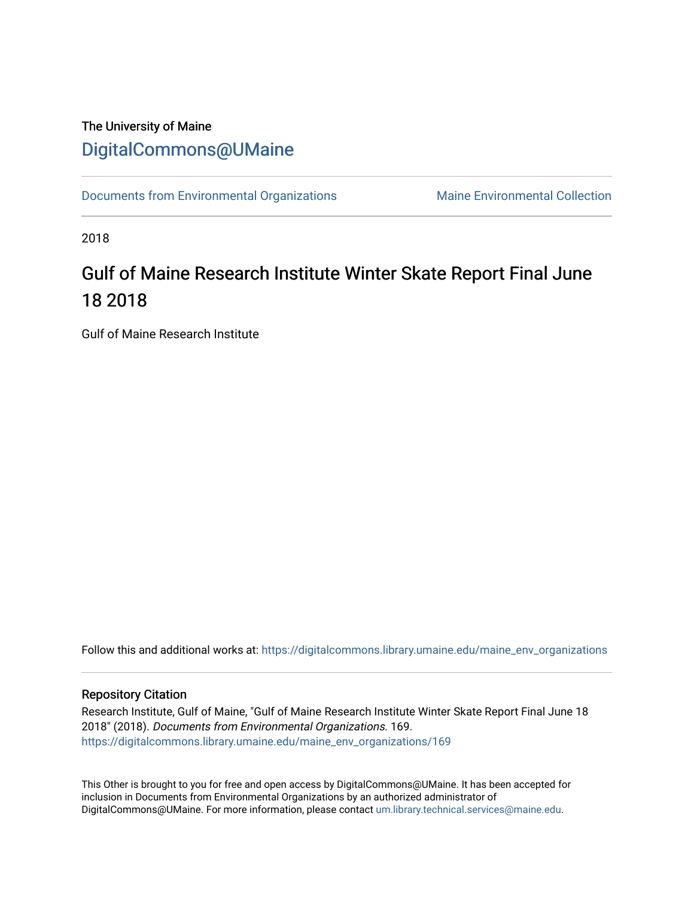# The University of Maine [DigitalCommons@UMaine](https://digitalcommons.library.umaine.edu/)

[Documents from Environmental Organizations](https://digitalcommons.library.umaine.edu/maine_env_organizations) Maine Environmental Collection

2018

# Gulf of Maine Research Institute Winter Skate Report Final June 18 2018

Gulf of Maine Research Institute

Follow this and additional works at: [https://digitalcommons.library.umaine.edu/maine\\_env\\_organizations](https://digitalcommons.library.umaine.edu/maine_env_organizations?utm_source=digitalcommons.library.umaine.edu%2Fmaine_env_organizations%2F169&utm_medium=PDF&utm_campaign=PDFCoverPages)

#### Repository Citation

Research Institute, Gulf of Maine, "Gulf of Maine Research Institute Winter Skate Report Final June 18 2018" (2018). Documents from Environmental Organizations. 169. [https://digitalcommons.library.umaine.edu/maine\\_env\\_organizations/169](https://digitalcommons.library.umaine.edu/maine_env_organizations/169?utm_source=digitalcommons.library.umaine.edu%2Fmaine_env_organizations%2F169&utm_medium=PDF&utm_campaign=PDFCoverPages)

This Other is brought to you for free and open access by DigitalCommons@UMaine. It has been accepted for inclusion in Documents from Environmental Organizations by an authorized administrator of DigitalCommons@UMaine. For more information, please contact [um.library.technical.services@maine.edu](mailto:um.library.technical.services@maine.edu).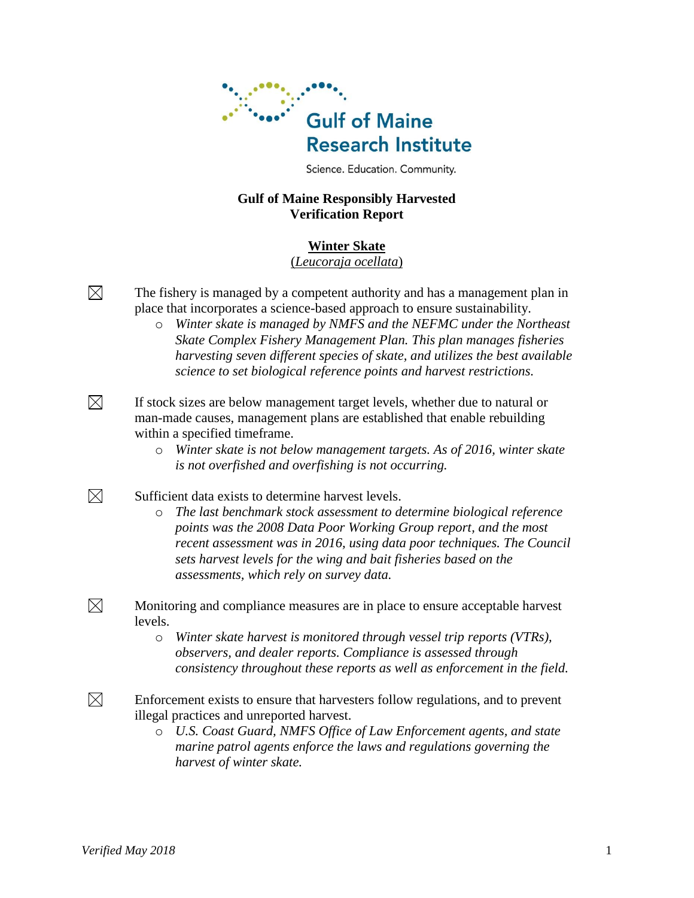

Science. Education. Community.

# **Gulf of Maine Responsibly Harvested Verification Report**

# **Winter Skate**

(*Leucoraja ocellata*)

The fishery is managed by a competent authority and has a management plan in place that incorporates a science-based approach to ensure sustainability.

o *Winter skate is managed by NMFS and the NEFMC under the Northeast Skate Complex Fishery Management Plan. This plan manages fisheries harvesting seven different species of skate, and utilizes the best available science to set biological reference points and harvest restrictions.*

If stock sizes are below management target levels, whether due to natural or man-made causes, management plans are established that enable rebuilding within a specified timeframe.

o *Winter skate is not below management targets. As of 2016, winter skate is not overfished and overfishing is not occurring.*

Sufficient data exists to determine harvest levels.

- o *The last benchmark stock assessment to determine biological reference points was the 2008 Data Poor Working Group report, and the most recent assessment was in 2016, using data poor techniques. The Council sets harvest levels for the wing and bait fisheries based on the assessments, which rely on survey data.*
- $\boxtimes$ Monitoring and compliance measures are in place to ensure acceptable harvest levels.
	- o *Winter skate harvest is monitored through vessel trip reports (VTRs), observers, and dealer reports. Compliance is assessed through consistency throughout these reports as well as enforcement in the field.*
- $\boxtimes$ Enforcement exists to ensure that harvesters follow regulations, and to prevent illegal practices and unreported harvest.
	- o *U.S. Coast Guard, NMFS Office of Law Enforcement agents, and state marine patrol agents enforce the laws and regulations governing the harvest of winter skate.*

 $\boxtimes$ 

 $\boxtimes$ 

 $\boxtimes$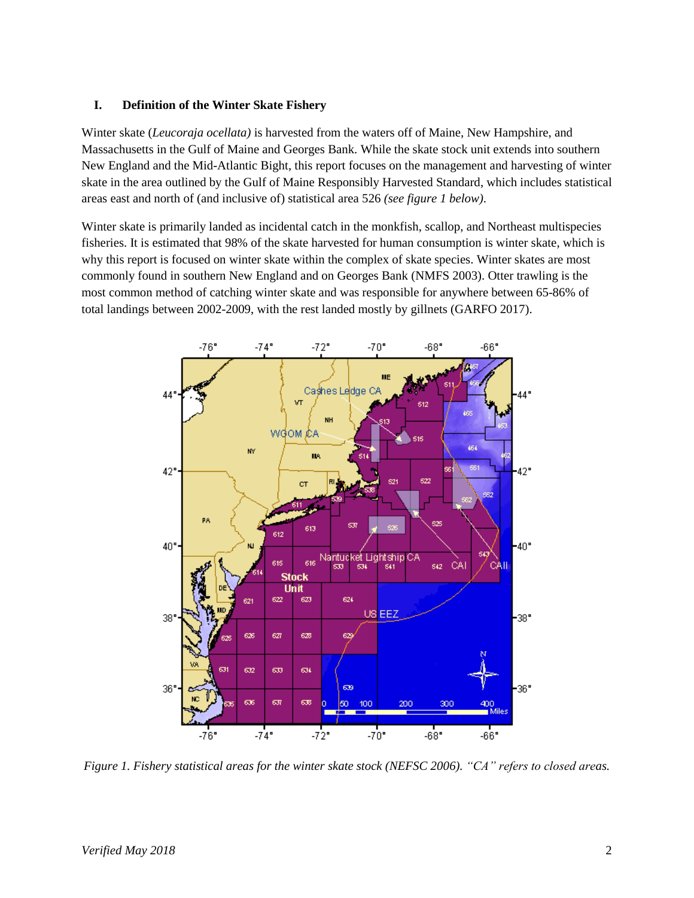#### **I. Definition of the Winter Skate Fishery**

Winter skate (*Leucoraja ocellata)* is harvested from the waters off of Maine, New Hampshire, and Massachusetts in the Gulf of Maine and Georges Bank. While the skate stock unit extends into southern New England and the Mid-Atlantic Bight, this report focuses on the management and harvesting of winter skate in the area outlined by the Gulf of Maine Responsibly Harvested Standard, which includes statistical areas east and north of (and inclusive of) statistical area 526 *(see figure 1 below)*.

Winter skate is primarily landed as incidental catch in the monkfish, scallop, and Northeast multispecies fisheries. It is estimated that 98% of the skate harvested for human consumption is winter skate, which is why this report is focused on winter skate within the complex of skate species. Winter skates are most commonly found in southern New England and on Georges Bank (NMFS 2003). Otter trawling is the most common method of catching winter skate and was responsible for anywhere between 65-86% of total landings between 2002-2009, with the rest landed mostly by gillnets (GARFO 2017).



*Figure 1. Fishery statistical areas for the winter skate stock (NEFSC 2006). "CA" refers to closed areas.*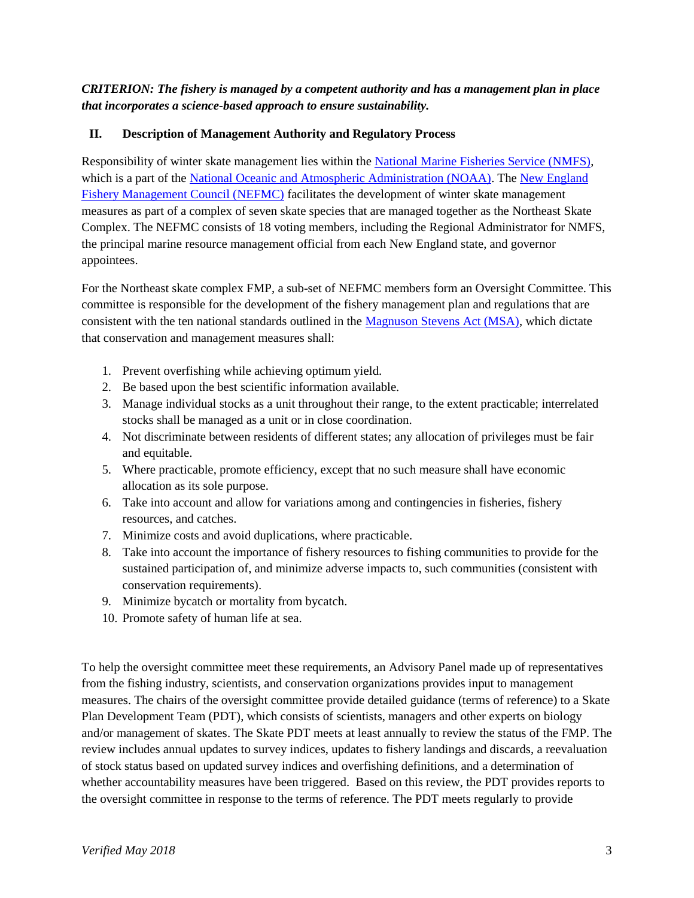*CRITERION: The fishery is managed by a competent authority and has a management plan in place that incorporates a science-based approach to ensure sustainability.*

# **II. Description of Management Authority and Regulatory Process**

Responsibility of winter skate management lies within the [National Marine Fisheries Service \(NMFS\),](http://www.nmfs.noaa.gov/) which is a part of the [National Oceanic and Atmospheric Administration \(NOAA\).](http://www.noaa.gov/) The New England [Fishery Management Council \(NEFMC\)](http://www.nefmc.org/) facilitates the development of winter skate management measures as part of a complex of seven skate species that are managed together as the Northeast Skate Complex. The NEFMC consists of 18 voting members, including the Regional Administrator for NMFS, the principal marine resource management official from each New England state, and governor appointees.

For the Northeast skate complex FMP, a sub-set of NEFMC members form an Oversight Committee. This committee is responsible for the development of the fishery management plan and regulations that are consistent with the ten national standards outlined in the [Magnuson Stevens Act \(MSA\),](http://www.nmfs.noaa.gov/sfa/magact/) which dictate that conservation and management measures shall:

- 1. Prevent overfishing while achieving optimum yield.
- 2. Be based upon the best scientific information available.
- 3. Manage individual stocks as a unit throughout their range, to the extent practicable; interrelated stocks shall be managed as a unit or in close coordination.
- 4. Not discriminate between residents of different states; any allocation of privileges must be fair and equitable.
- 5. Where practicable, promote efficiency, except that no such measure shall have economic allocation as its sole purpose.
- 6. Take into account and allow for variations among and contingencies in fisheries, fishery resources, and catches.
- 7. Minimize costs and avoid duplications, where practicable.
- 8. Take into account the importance of fishery resources to fishing communities to provide for the sustained participation of, and minimize adverse impacts to, such communities (consistent with conservation requirements).
- 9. Minimize bycatch or mortality from bycatch.
- 10. Promote safety of human life at sea.

To help the oversight committee meet these requirements, an Advisory Panel made up of representatives from the fishing industry, scientists, and conservation organizations provides input to management measures. The chairs of the oversight committee provide detailed guidance (terms of reference) to a Skate Plan Development Team (PDT), which consists of scientists, managers and other experts on biology and/or management of skates. The Skate PDT meets at least annually to review the status of the FMP. The review includes annual updates to survey indices, updates to fishery landings and discards, a reevaluation of stock status based on updated survey indices and overfishing definitions, and a determination of whether accountability measures have been triggered. Based on this review, the PDT provides reports to the oversight committee in response to the terms of reference. The PDT meets regularly to provide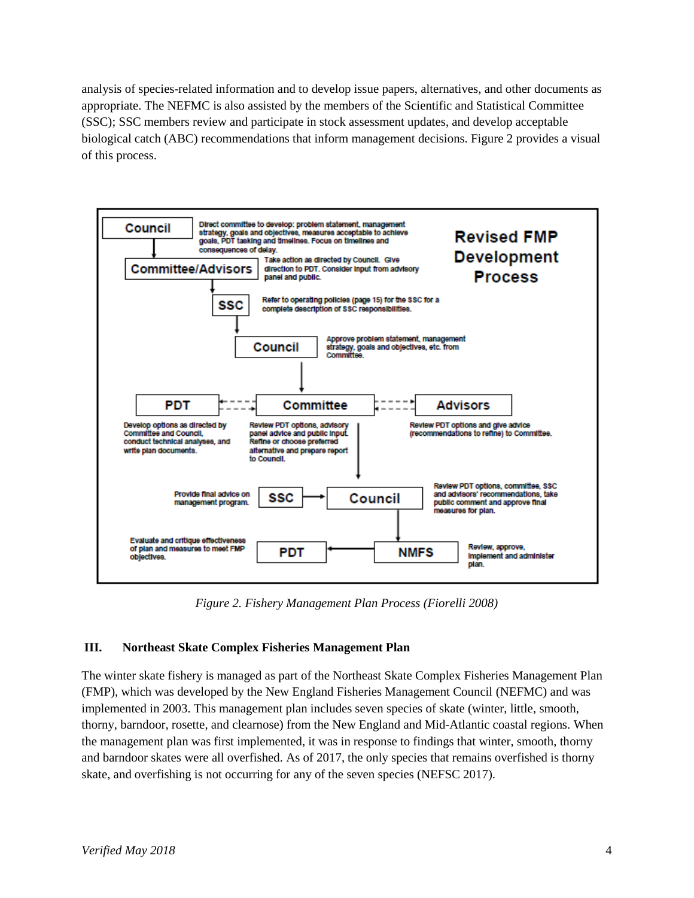analysis of species-related information and to develop issue papers, alternatives, and other documents as appropriate. The NEFMC is also assisted by the members of the Scientific and Statistical Committee (SSC); SSC members review and participate in stock assessment updates, and develop acceptable biological catch (ABC) recommendations that inform management decisions. Figure 2 provides a visual of this process.



*Figure 2. Fishery Management Plan Process (Fiorelli 2008)*

# **III. Northeast Skate Complex Fisheries Management Plan**

The winter skate fishery is managed as part of the Northeast Skate Complex Fisheries Management Plan (FMP), which was developed by the New England Fisheries Management Council (NEFMC) and was implemented in 2003. This management plan includes seven species of skate (winter, little, smooth, thorny, barndoor, rosette, and clearnose) from the New England and Mid-Atlantic coastal regions. When the management plan was first implemented, it was in response to findings that winter, smooth, thorny and barndoor skates were all overfished. As of 2017, the only species that remains overfished is thorny skate, and overfishing is not occurring for any of the seven species (NEFSC 2017).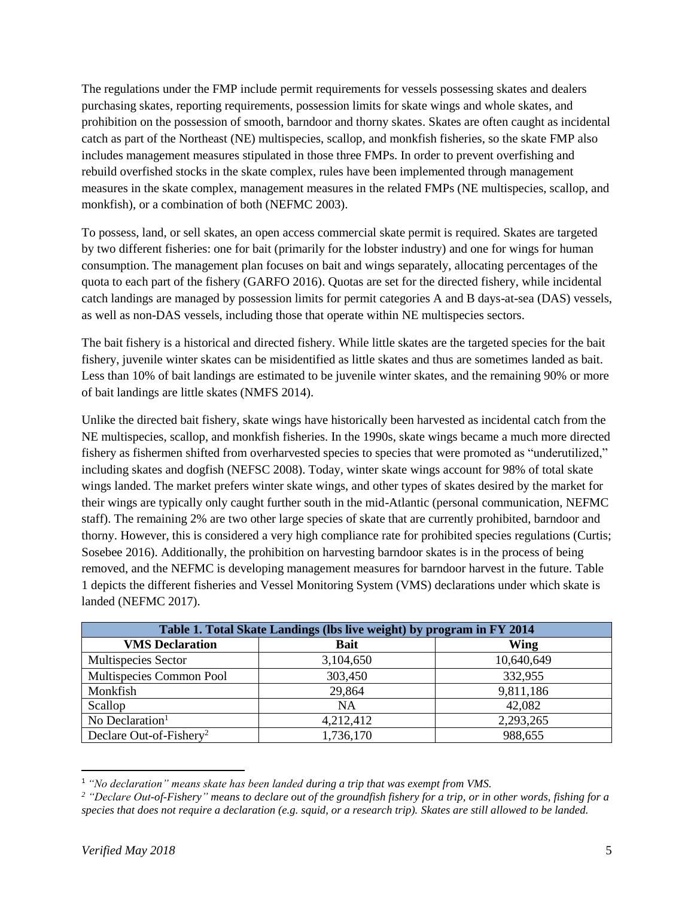The regulations under the FMP include permit requirements for vessels possessing skates and dealers purchasing skates, reporting requirements, possession limits for skate wings and whole skates, and prohibition on the possession of smooth, barndoor and thorny skates. Skates are often caught as incidental catch as part of the Northeast (NE) multispecies, scallop, and monkfish fisheries, so the skate FMP also includes management measures stipulated in those three FMPs. In order to prevent overfishing and rebuild overfished stocks in the skate complex, rules have been implemented through management measures in the skate complex, management measures in the related FMPs (NE multispecies, scallop, and monkfish), or a combination of both (NEFMC 2003).

To possess, land, or sell skates, an open access commercial skate permit is required. Skates are targeted by two different fisheries: one for bait (primarily for the lobster industry) and one for wings for human consumption. The management plan focuses on bait and wings separately, allocating percentages of the quota to each part of the fishery (GARFO 2016). Quotas are set for the directed fishery, while incidental catch landings are managed by possession limits for permit categories A and B days-at-sea (DAS) vessels, as well as non-DAS vessels, including those that operate within NE multispecies sectors.

The bait fishery is a historical and directed fishery. While little skates are the targeted species for the bait fishery, juvenile winter skates can be misidentified as little skates and thus are sometimes landed as bait. Less than 10% of bait landings are estimated to be juvenile winter skates, and the remaining 90% or more of bait landings are little skates (NMFS 2014).

Unlike the directed bait fishery, skate wings have historically been harvested as incidental catch from the NE multispecies, scallop, and monkfish fisheries. In the 1990s, skate wings became a much more directed fishery as fishermen shifted from overharvested species to species that were promoted as "underutilized," including skates and dogfish (NEFSC 2008). Today, winter skate wings account for 98% of total skate wings landed. The market prefers winter skate wings, and other types of skates desired by the market for their wings are typically only caught further south in the mid-Atlantic (personal communication, NEFMC staff). The remaining 2% are two other large species of skate that are currently prohibited, barndoor and thorny. However, this is considered a very high compliance rate for prohibited species regulations (Curtis; Sosebee 2016). Additionally, the prohibition on harvesting barndoor skates is in the process of being removed, and the NEFMC is developing management measures for barndoor harvest in the future. Table 1 depicts the different fisheries and Vessel Monitoring System (VMS) declarations under which skate is landed (NEFMC 2017).

| Table 1. Total Skate Landings (lbs live weight) by program in FY 2014 |             |            |  |  |  |
|-----------------------------------------------------------------------|-------------|------------|--|--|--|
| <b>VMS</b> Declaration                                                | <b>Bait</b> | Wing       |  |  |  |
| Multispecies Sector                                                   | 3,104,650   | 10,640,649 |  |  |  |
| Multispecies Common Pool                                              | 303,450     | 332,955    |  |  |  |
| Monkfish                                                              | 29,864      | 9,811,186  |  |  |  |
| Scallop                                                               | <b>NA</b>   | 42,082     |  |  |  |
| No Declaration $1$                                                    | 4,212,412   | 2,293,265  |  |  |  |
| Declare Out-of-Fishery <sup>2</sup>                                   | 1,736,170   | 988,655    |  |  |  |

<sup>1</sup> *"No declaration" means skate has been landed during a trip that was exempt from VMS.*

 $\overline{\phantom{a}}$ 

*<sup>2</sup> "Declare Out-of-Fishery" means to declare out of the groundfish fishery for a trip, or in other words, fishing for a species that does not require a declaration (e.g. squid, or a research trip). Skates are still allowed to be landed.*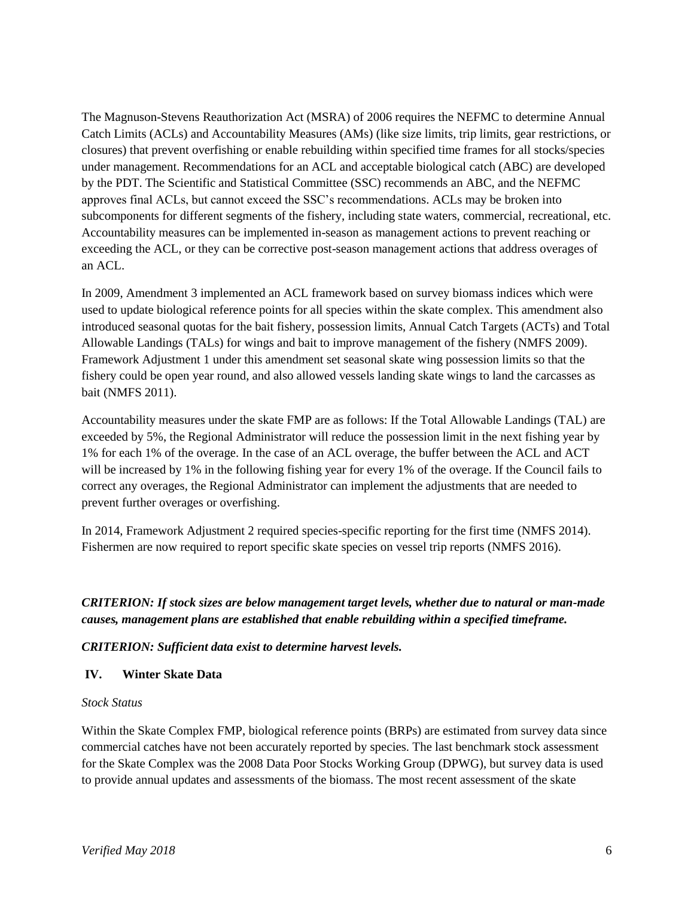The Magnuson-Stevens Reauthorization Act (MSRA) of 2006 requires the NEFMC to determine Annual Catch Limits (ACLs) and Accountability Measures (AMs) (like size limits, trip limits, gear restrictions, or closures) that prevent overfishing or enable rebuilding within specified time frames for all stocks/species under management. Recommendations for an ACL and acceptable biological catch (ABC) are developed by the PDT. The Scientific and Statistical Committee (SSC) recommends an ABC, and the NEFMC approves final ACLs, but cannot exceed the SSC's recommendations. ACLs may be broken into subcomponents for different segments of the fishery, including state waters, commercial, recreational, etc. Accountability measures can be implemented in-season as management actions to prevent reaching or exceeding the ACL, or they can be corrective post-season management actions that address overages of an ACL.

In 2009, Amendment 3 implemented an ACL framework based on survey biomass indices which were used to update biological reference points for all species within the skate complex. This amendment also introduced seasonal quotas for the bait fishery, possession limits, Annual Catch Targets (ACTs) and Total Allowable Landings (TALs) for wings and bait to improve management of the fishery (NMFS 2009). Framework Adjustment 1 under this amendment set seasonal skate wing possession limits so that the fishery could be open year round, and also allowed vessels landing skate wings to land the carcasses as bait (NMFS 2011).

Accountability measures under the skate FMP are as follows: If the Total Allowable Landings (TAL) are exceeded by 5%, the Regional Administrator will reduce the possession limit in the next fishing year by 1% for each 1% of the overage. In the case of an ACL overage, the buffer between the ACL and ACT will be increased by 1% in the following fishing year for every 1% of the overage. If the Council fails to correct any overages, the Regional Administrator can implement the adjustments that are needed to prevent further overages or overfishing.

In 2014, Framework Adjustment 2 required species-specific reporting for the first time (NMFS 2014). Fishermen are now required to report specific skate species on vessel trip reports (NMFS 2016).

*CRITERION: If stock sizes are below management target levels, whether due to natural or man-made causes, management plans are established that enable rebuilding within a specified timeframe.*

*CRITERION: Sufficient data exist to determine harvest levels.*

# **IV. Winter Skate Data**

#### *Stock Status*

Within the Skate Complex FMP, biological reference points (BRPs) are estimated from survey data since commercial catches have not been accurately reported by species. The last benchmark stock assessment for the Skate Complex was the 2008 Data Poor Stocks Working Group (DPWG), but survey data is used to provide annual updates and assessments of the biomass. The most recent assessment of the skate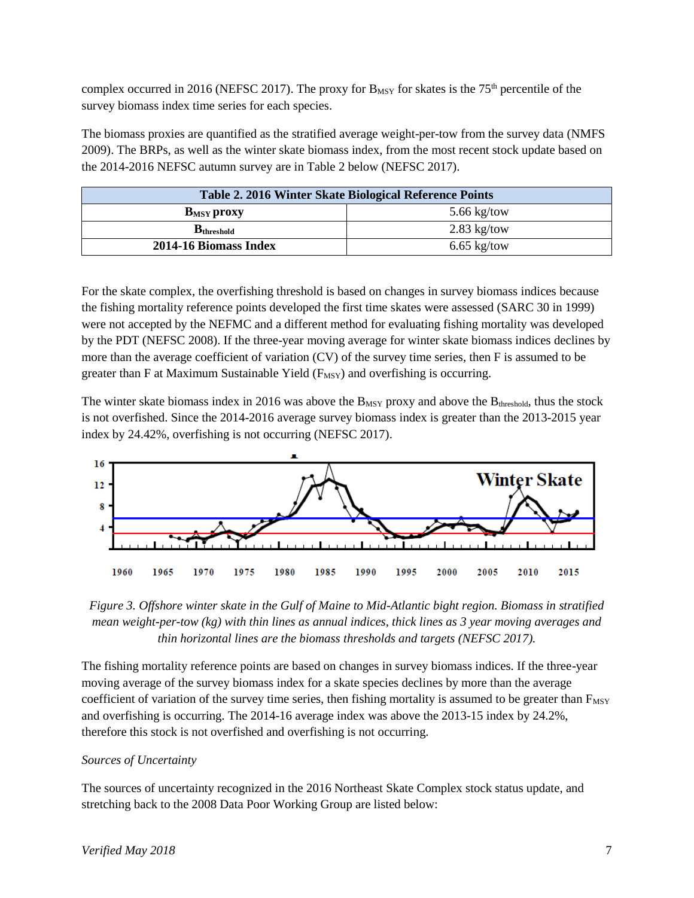complex occurred in 2016 (NEFSC 2017). The proxy for  $B_{MSY}$  for skates is the 75<sup>th</sup> percentile of the survey biomass index time series for each species.

The biomass proxies are quantified as the stratified average weight-per-tow from the survey data (NMFS 2009). The BRPs, as well as the winter skate biomass index, from the most recent stock update based on the 2014-2016 NEFSC autumn survey are in Table 2 below (NEFSC 2017).

| Table 2. 2016 Winter Skate Biological Reference Points |               |  |  |  |
|--------------------------------------------------------|---------------|--|--|--|
| <b>B</b> <sub>MSY</sub> proxy                          | 5.66 $kg/tow$ |  |  |  |
| $B_{threshold}$                                        | $2.83$ kg/tow |  |  |  |
| 2014-16 Biomass Index                                  | $6.65$ kg/tow |  |  |  |

For the skate complex, the overfishing threshold is based on changes in survey biomass indices because the fishing mortality reference points developed the first time skates were assessed (SARC 30 in 1999) were not accepted by the NEFMC and a different method for evaluating fishing mortality was developed by the PDT (NEFSC 2008). If the three-year moving average for winter skate biomass indices declines by more than the average coefficient of variation (CV) of the survey time series, then F is assumed to be greater than F at Maximum Sustainable Yield  $(F_{MSY})$  and overfishing is occurring.

The winter skate biomass index in 2016 was above the  $B_{MSY}$  proxy and above the  $B_{threshold}$ , thus the stock is not overfished. Since the 2014-2016 average survey biomass index is greater than the 2013-2015 year index by 24.42%, overfishing is not occurring (NEFSC 2017).





The fishing mortality reference points are based on changes in survey biomass indices. If the three-year moving average of the survey biomass index for a skate species declines by more than the average coefficient of variation of the survey time series, then fishing mortality is assumed to be greater than  $F_{MSY}$ and overfishing is occurring. The 2014-16 average index was above the 2013-15 index by 24.2%, therefore this stock is not overfished and overfishing is not occurring.

# *Sources of Uncertainty*

The sources of uncertainty recognized in the 2016 Northeast Skate Complex stock status update, and stretching back to the 2008 Data Poor Working Group are listed below: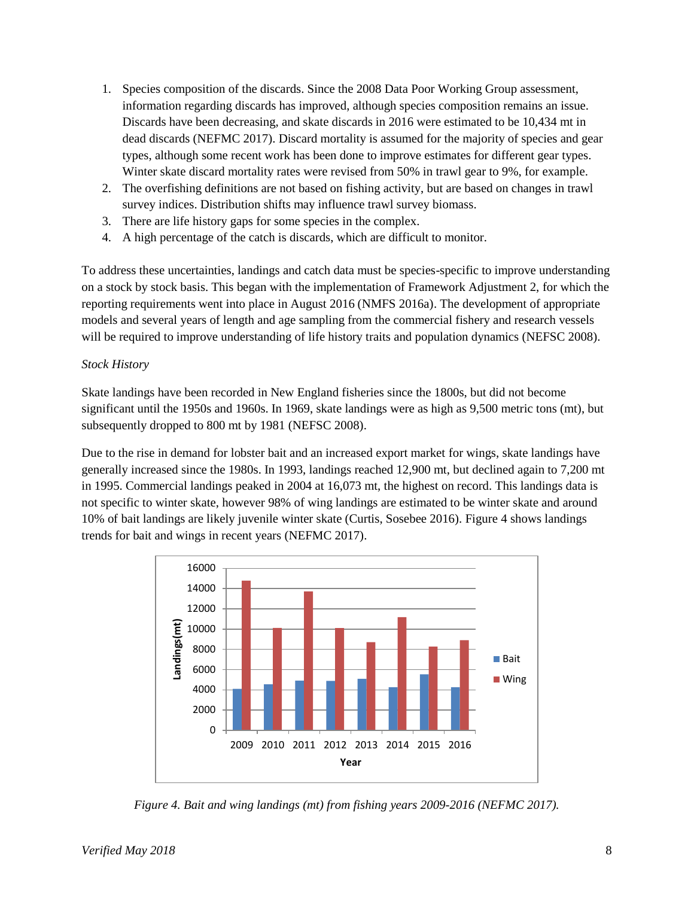- 1. Species composition of the discards. Since the 2008 Data Poor Working Group assessment, information regarding discards has improved, although species composition remains an issue. Discards have been decreasing, and skate discards in 2016 were estimated to be 10,434 mt in dead discards (NEFMC 2017). Discard mortality is assumed for the majority of species and gear types, although some recent work has been done to improve estimates for different gear types. Winter skate discard mortality rates were revised from 50% in trawl gear to 9%, for example.
- 2. The overfishing definitions are not based on fishing activity, but are based on changes in trawl survey indices. Distribution shifts may influence trawl survey biomass.
- 3. There are life history gaps for some species in the complex.
- 4. A high percentage of the catch is discards, which are difficult to monitor.

To address these uncertainties, landings and catch data must be species-specific to improve understanding on a stock by stock basis. This began with the implementation of Framework Adjustment 2, for which the reporting requirements went into place in August 2016 (NMFS 2016a). The development of appropriate models and several years of length and age sampling from the commercial fishery and research vessels will be required to improve understanding of life history traits and population dynamics (NEFSC 2008).

#### *Stock History*

Skate landings have been recorded in New England fisheries since the 1800s, but did not become significant until the 1950s and 1960s. In 1969, skate landings were as high as 9,500 metric tons (mt), but subsequently dropped to 800 mt by 1981 (NEFSC 2008).

Due to the rise in demand for lobster bait and an increased export market for wings, skate landings have generally increased since the 1980s. In 1993, landings reached 12,900 mt, but declined again to 7,200 mt in 1995. Commercial landings peaked in 2004 at 16,073 mt, the highest on record. This landings data is not specific to winter skate, however 98% of wing landings are estimated to be winter skate and around 10% of bait landings are likely juvenile winter skate (Curtis, Sosebee 2016). Figure 4 shows landings trends for bait and wings in recent years (NEFMC 2017).



*Figure 4. Bait and wing landings (mt) from fishing years 2009-2016 (NEFMC 2017).*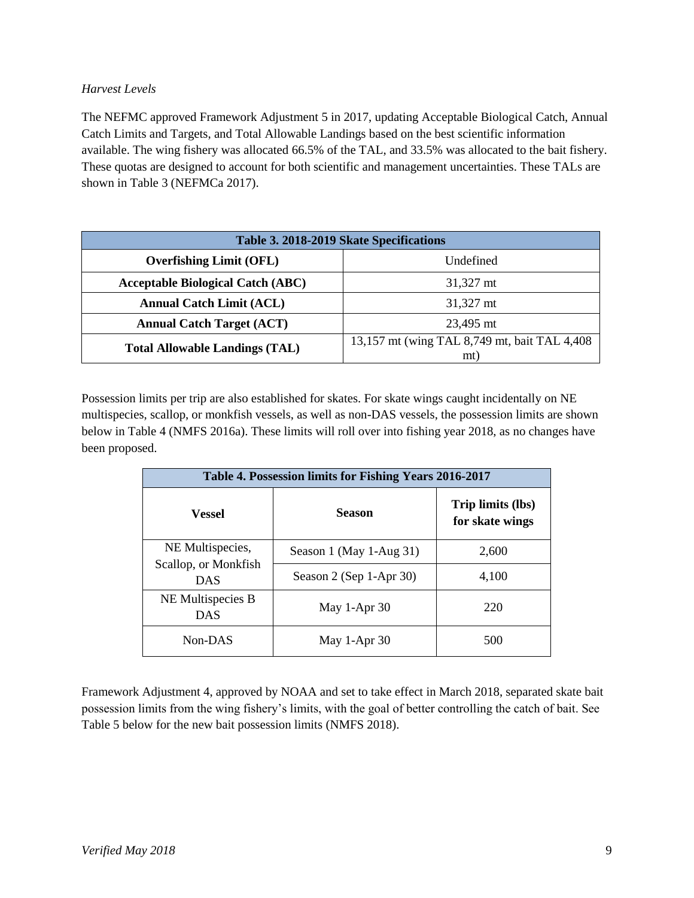# *Harvest Levels*

The NEFMC approved Framework Adjustment 5 in 2017, updating Acceptable Biological Catch, Annual Catch Limits and Targets, and Total Allowable Landings based on the best scientific information available. The wing fishery was allocated 66.5% of the TAL, and 33.5% was allocated to the bait fishery. These quotas are designed to account for both scientific and management uncertainties. These TALs are shown in Table 3 (NEFMCa 2017).

| Table 3. 2018-2019 Skate Specifications  |                                                      |  |  |  |
|------------------------------------------|------------------------------------------------------|--|--|--|
| <b>Overfishing Limit (OFL)</b>           | Undefined                                            |  |  |  |
| <b>Acceptable Biological Catch (ABC)</b> | 31,327 mt                                            |  |  |  |
| <b>Annual Catch Limit (ACL)</b>          | 31,327 mt                                            |  |  |  |
| <b>Annual Catch Target (ACT)</b>         | 23,495 mt                                            |  |  |  |
| <b>Total Allowable Landings (TAL)</b>    | 13,157 mt (wing TAL 8,749 mt, bait TAL 4,408)<br>mt) |  |  |  |

Possession limits per trip are also established for skates. For skate wings caught incidentally on NE multispecies, scallop, or monkfish vessels, as well as non-DAS vessels, the possession limits are shown below in Table 4 (NMFS 2016a). These limits will roll over into fishing year 2018, as no changes have been proposed.

| Table 4. Possession limits for Fishing Years 2016-2017 |                         |                                      |  |  |  |
|--------------------------------------------------------|-------------------------|--------------------------------------|--|--|--|
| Vessel                                                 | <b>Season</b>           | Trip limits (lbs)<br>for skate wings |  |  |  |
| NE Multispecies,<br>Scallop, or Monkfish<br><b>DAS</b> | Season 1 (May 1-Aug 31) | 2,600                                |  |  |  |
|                                                        | Season 2 (Sep 1-Apr 30) | 4,100                                |  |  |  |
| NE Multispecies B<br>DAS                               | May 1-Apr 30            | 220                                  |  |  |  |
| Non-DAS                                                | May 1-Apr 30            | 500                                  |  |  |  |

Framework Adjustment 4, approved by NOAA and set to take effect in March 2018, separated skate bait possession limits from the wing fishery's limits, with the goal of better controlling the catch of bait. See Table 5 below for the new bait possession limits (NMFS 2018).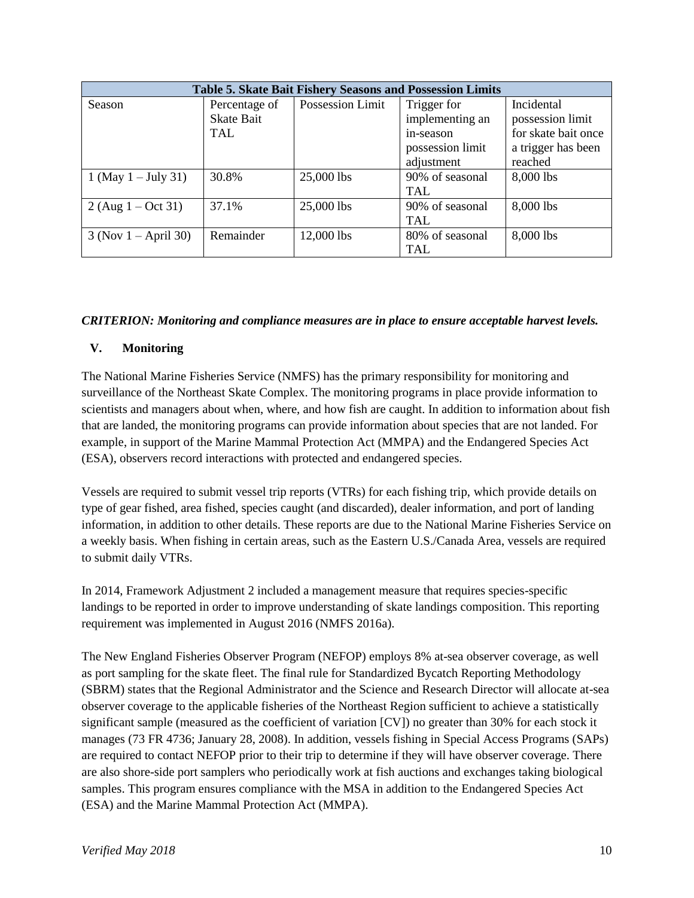| <b>Table 5. Skate Bait Fishery Seasons and Possession Limits</b> |                   |                  |                  |                     |  |
|------------------------------------------------------------------|-------------------|------------------|------------------|---------------------|--|
| Season                                                           | Percentage of     | Possession Limit | Trigger for      | Incidental          |  |
|                                                                  | <b>Skate Bait</b> |                  | implementing an  | possession limit    |  |
|                                                                  | <b>TAL</b>        |                  | in-season        | for skate bait once |  |
|                                                                  |                   |                  | possession limit | a trigger has been  |  |
|                                                                  |                   |                  | adjustment       | reached             |  |
| 1 (May $1 - July 31$ )                                           | 30.8%             | 25,000 lbs       | 90% of seasonal  | 8,000 lbs           |  |
|                                                                  |                   |                  | TAL              |                     |  |
| $2 (Aug 1 - Oct 31)$                                             | 37.1%             | 25,000 lbs       | 90% of seasonal  | 8,000 lbs           |  |
|                                                                  |                   |                  | <b>TAL</b>       |                     |  |
| $3$ (Nov 1 – April 30)                                           | Remainder         | 12,000 lbs       | 80% of seasonal  | 8,000 lbs           |  |
|                                                                  |                   |                  | TAL              |                     |  |

#### *CRITERION: Monitoring and compliance measures are in place to ensure acceptable harvest levels.*

#### **V. Monitoring**

The National Marine Fisheries Service (NMFS) has the primary responsibility for monitoring and surveillance of the Northeast Skate Complex. The monitoring programs in place provide information to scientists and managers about when, where, and how fish are caught. In addition to information about fish that are landed, the monitoring programs can provide information about species that are not landed. For example, in support of the Marine Mammal Protection Act (MMPA) and the Endangered Species Act (ESA), observers record interactions with protected and endangered species.

Vessels are required to submit vessel trip reports (VTRs) for each fishing trip, which provide details on type of gear fished, area fished, species caught (and discarded), dealer information, and port of landing information, in addition to other details. These reports are due to the National Marine Fisheries Service on a weekly basis. When fishing in certain areas, such as the Eastern U.S./Canada Area, vessels are required to submit daily VTRs.

In 2014, Framework Adjustment 2 included a management measure that requires species-specific landings to be reported in order to improve understanding of skate landings composition. This reporting requirement was implemented in August 2016 (NMFS 2016a).

The New England Fisheries Observer Program (NEFOP) employs 8% at-sea observer coverage, as well as port sampling for the skate fleet. The final rule for Standardized Bycatch Reporting Methodology (SBRM) states that the Regional Administrator and the Science and Research Director will allocate at-sea observer coverage to the applicable fisheries of the Northeast Region sufficient to achieve a statistically significant sample (measured as the coefficient of variation [CV]) no greater than 30% for each stock it manages (73 FR 4736; January 28, 2008). In addition, vessels fishing in Special Access Programs (SAPs) are required to contact NEFOP prior to their trip to determine if they will have observer coverage. There are also shore-side port samplers who periodically work at fish auctions and exchanges taking biological samples. This program ensures compliance with the MSA in addition to the Endangered Species Act (ESA) and the Marine Mammal Protection Act (MMPA).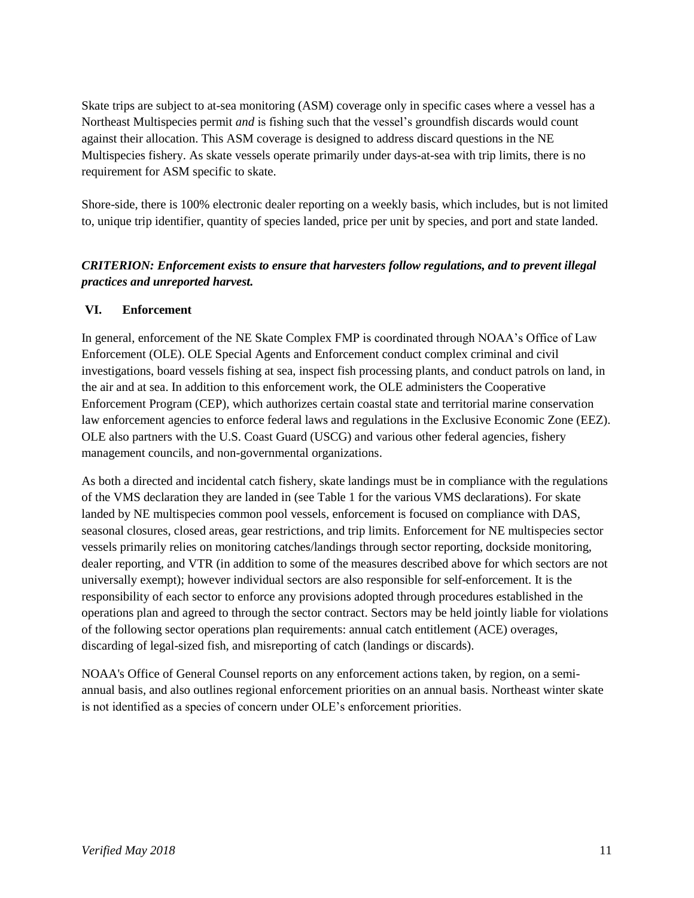Skate trips are subject to at-sea monitoring (ASM) coverage only in specific cases where a vessel has a Northeast Multispecies permit *and* is fishing such that the vessel's groundfish discards would count against their allocation. This ASM coverage is designed to address discard questions in the NE Multispecies fishery. As skate vessels operate primarily under days-at-sea with trip limits, there is no requirement for ASM specific to skate.

Shore-side, there is 100% electronic dealer reporting on a weekly basis, which includes, but is not limited to, unique trip identifier, quantity of species landed, price per unit by species, and port and state landed.

# *CRITERION: Enforcement exists to ensure that harvesters follow regulations, and to prevent illegal practices and unreported harvest.*

# **VI. Enforcement**

In general, enforcement of the NE Skate Complex FMP is coordinated through NOAA's Office of Law Enforcement (OLE). OLE Special Agents and Enforcement conduct complex criminal and civil investigations, board vessels fishing at sea, inspect fish processing plants, and conduct patrols on land, in the air and at sea. In addition to this enforcement work, the OLE administers the Cooperative Enforcement Program (CEP), which authorizes certain coastal state and territorial marine conservation law enforcement agencies to enforce federal laws and regulations in the Exclusive Economic Zone (EEZ). OLE also partners with the U.S. Coast Guard (USCG) and various other federal agencies, fishery management councils, and non-governmental organizations.

As both a directed and incidental catch fishery, skate landings must be in compliance with the regulations of the VMS declaration they are landed in (see Table 1 for the various VMS declarations). For skate landed by NE multispecies common pool vessels, enforcement is focused on compliance with DAS, seasonal closures, closed areas, gear restrictions, and trip limits. Enforcement for NE multispecies sector vessels primarily relies on monitoring catches/landings through sector reporting, dockside monitoring, dealer reporting, and VTR (in addition to some of the measures described above for which sectors are not universally exempt); however individual sectors are also responsible for self-enforcement. It is the responsibility of each sector to enforce any provisions adopted through procedures established in the operations plan and agreed to through the sector contract. Sectors may be held jointly liable for violations of the following sector operations plan requirements: annual catch entitlement (ACE) overages, discarding of legal-sized fish, and misreporting of catch (landings or discards).

NOAA's Office of General Counsel reports on any enforcement actions taken, by region, on a semiannual basis, and also outlines regional enforcement priorities on an annual basis. Northeast winter skate is not identified as a species of concern under OLE's enforcement priorities.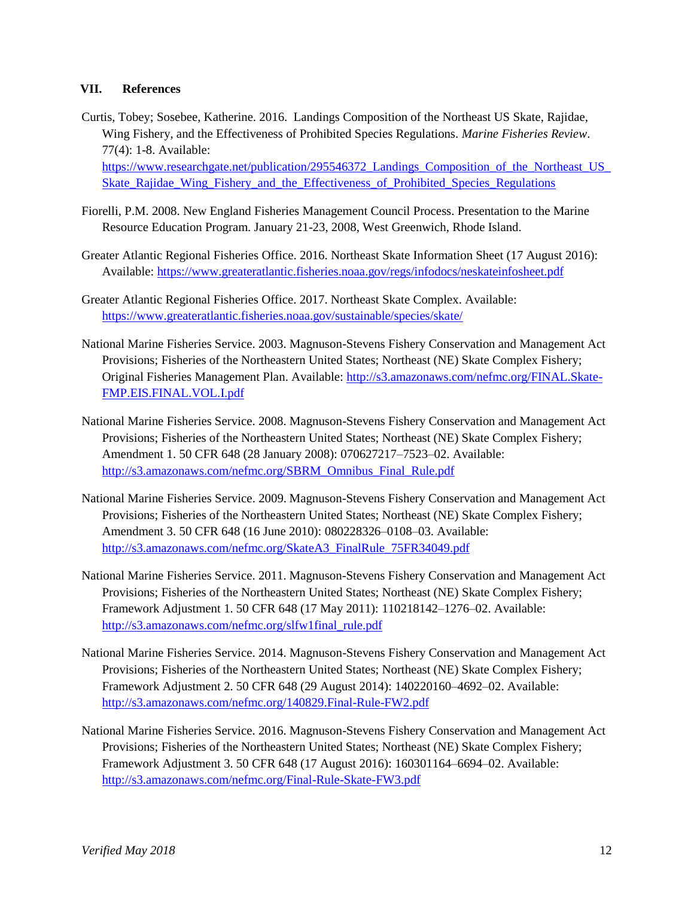#### **VII. References**

- Curtis, Tobey; Sosebee, Katherine. 2016. Landings Composition of the Northeast US Skate, Rajidae, Wing Fishery, and the Effectiveness of Prohibited Species Regulations. *Marine Fisheries Review*. 77(4): 1-8. Available: [https://www.researchgate.net/publication/295546372\\_Landings\\_Composition\\_of\\_the\\_Northeast\\_US\\_](https://www.researchgate.net/publication/295546372_Landings_Composition_of_the_Northeast_US_Skate_Rajidae_Wing_Fishery_and_the_Effectiveness_of_Prohibited_Species_Regulations) Skate Rajidae Wing Fishery and the Effectiveness of Prohibited Species Regulations
- Fiorelli, P.M. 2008. New England Fisheries Management Council Process. Presentation to the Marine Resource Education Program. January 21-23, 2008, West Greenwich, Rhode Island.
- Greater Atlantic Regional Fisheries Office. 2016. Northeast Skate Information Sheet (17 August 2016): Available:<https://www.greateratlantic.fisheries.noaa.gov/regs/infodocs/neskateinfosheet.pdf>
- Greater Atlantic Regional Fisheries Office. 2017. Northeast Skate Complex. Available: <https://www.greateratlantic.fisheries.noaa.gov/sustainable/species/skate/>
- National Marine Fisheries Service. 2003. Magnuson-Stevens Fishery Conservation and Management Act Provisions; Fisheries of the Northeastern United States; Northeast (NE) Skate Complex Fishery; Original Fisheries Management Plan. Available: [http://s3.amazonaws.com/nefmc.org/FINAL.Skate-](http://s3.amazonaws.com/nefmc.org/FINAL.Skate-FMP.EIS.FINAL.VOL.I.pdf)[FMP.EIS.FINAL.VOL.I.pdf](http://s3.amazonaws.com/nefmc.org/FINAL.Skate-FMP.EIS.FINAL.VOL.I.pdf)
- National Marine Fisheries Service. 2008. Magnuson-Stevens Fishery Conservation and Management Act Provisions; Fisheries of the Northeastern United States; Northeast (NE) Skate Complex Fishery; Amendment 1. 50 CFR 648 (28 January 2008): 070627217–7523–02. Available: [http://s3.amazonaws.com/nefmc.org/SBRM\\_Omnibus\\_Final\\_Rule.pdf](http://s3.amazonaws.com/nefmc.org/SBRM_Omnibus_Final_Rule.pdf)
- National Marine Fisheries Service. 2009. Magnuson-Stevens Fishery Conservation and Management Act Provisions; Fisheries of the Northeastern United States; Northeast (NE) Skate Complex Fishery; Amendment 3. 50 CFR 648 (16 June 2010): 080228326–0108–03. Available: [http://s3.amazonaws.com/nefmc.org/SkateA3\\_FinalRule\\_75FR34049.pdf](http://s3.amazonaws.com/nefmc.org/SkateA3_FinalRule_75FR34049.pdf)
- National Marine Fisheries Service. 2011. Magnuson-Stevens Fishery Conservation and Management Act Provisions; Fisheries of the Northeastern United States; Northeast (NE) Skate Complex Fishery; Framework Adjustment 1. 50 CFR 648 (17 May 2011): 110218142–1276–02. Available: [http://s3.amazonaws.com/nefmc.org/slfw1final\\_rule.pdf](http://s3.amazonaws.com/nefmc.org/slfw1final_rule.pdf)
- National Marine Fisheries Service. 2014. Magnuson-Stevens Fishery Conservation and Management Act Provisions; Fisheries of the Northeastern United States; Northeast (NE) Skate Complex Fishery; Framework Adjustment 2. 50 CFR 648 (29 August 2014): 140220160–4692–02. Available: <http://s3.amazonaws.com/nefmc.org/140829.Final-Rule-FW2.pdf>
- National Marine Fisheries Service. 2016. Magnuson-Stevens Fishery Conservation and Management Act Provisions; Fisheries of the Northeastern United States; Northeast (NE) Skate Complex Fishery; Framework Adjustment 3. 50 CFR 648 (17 August 2016): 160301164–6694–02. Available: <http://s3.amazonaws.com/nefmc.org/Final-Rule-Skate-FW3.pdf>